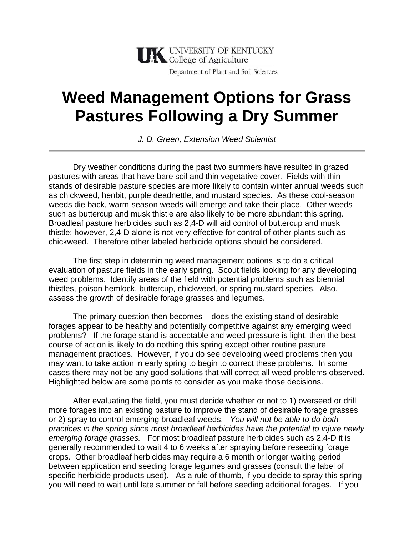

Department of Plant and Soil Sciences

## **Weed Management Options for Grass Pastures Following a Dry Summer**

*J. D. Green, Extension Weed Scientist* 

 Dry weather conditions during the past two summers have resulted in grazed pastures with areas that have bare soil and thin vegetative cover. Fields with thin stands of desirable pasture species are more likely to contain winter annual weeds such as chickweed, henbit, purple deadnettle, and mustard species. As these cool-season weeds die back, warm-season weeds will emerge and take their place. Other weeds such as buttercup and musk thistle are also likely to be more abundant this spring. Broadleaf pasture herbicides such as 2,4-D will aid control of buttercup and musk thistle; however, 2,4-D alone is not very effective for control of other plants such as chickweed. Therefore other labeled herbicide options should be considered.

 The first step in determining weed management options is to do a critical evaluation of pasture fields in the early spring. Scout fields looking for any developing weed problems. Identify areas of the field with potential problems such as biennial thistles, poison hemlock, buttercup, chickweed, or spring mustard species. Also, assess the growth of desirable forage grasses and legumes.

The primary question then becomes – does the existing stand of desirable forages appear to be healthy and potentially competitive against any emerging weed problems? If the forage stand is acceptable and weed pressure is light, then the best course of action is likely to do nothing this spring except other routine pasture management practices. However, if you do see developing weed problems then you may want to take action in early spring to begin to correct these problems. In some cases there may not be any good solutions that will correct all weed problems observed. Highlighted below are some points to consider as you make those decisions.

After evaluating the field, you must decide whether or not to 1) overseed or drill more forages into an existing pasture to improve the stand of desirable forage grasses or 2) spray to control emerging broadleaf weeds. *You will not be able to do both practices in the spring since most broadleaf herbicides have the potential to injure newly emerging forage grasses.* For most broadleaf pasture herbicides such as 2,4-D it is generally recommended to wait 4 to 6 weeks after spraying before reseeding forage crops. Other broadleaf herbicides may require a 6 month or longer waiting period between application and seeding forage legumes and grasses (consult the label of specific herbicide products used). As a rule of thumb, if you decide to spray this spring you will need to wait until late summer or fall before seeding additional forages. If you